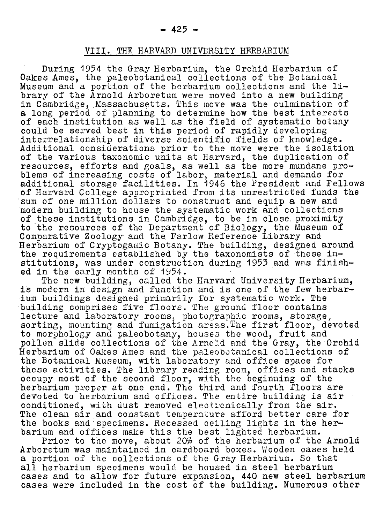VIII. The Harvard University Herbarium

During <sup>1954</sup> the Gray Herbarium, the Orchid Herbarium of Oakes Ames, the paleobotanical collections of the Botanical Museum and <sup>a</sup> portion of the herbarium collections and the library of the Arnold Arboretum were moved into a new building in Cambridge, Massachusetts. This move was the culmination of <sup>a</sup> long period of planning to determine how the best interests of each institution as well as the field of systematic botany could be served best in this period of rapidly developing interrelationship of diverse scientific fields of knowledge. Additional considerations prior to the move were the isolation of the various taxonomic units at Harvard, the duplication of resources, efforts and goals, as well as the more mundane problems of increasing costs of labor, material and demands for additional storage facilities. In <sup>1946</sup> the President and Fellows of Harvard College appropriated from its unrestricted funds the sum of one million dollars to construct and equip <sup>a</sup> new and modern building to house the systematic work and collections of these institutions in Cambridge, to be in close proximity to the resources of the Department of Biology, the Museum of Comparative Zoology and the Farlow Reference Library and Herbarium of Cryptogamic Botany. The building, designed around the requirements established by the taxonomists of these institutions, was under construction during <sup>1953</sup> and was finished in the early months of 1954.

The new building, called the Harvard University Herbarium, is modern in design and function and is one of the few herbaris modern in design and lunction and is one of the few he<br>ium buildings designed primarily for systematic work. The building comprises five floors. The ground floor contains lecture and laboratory rooms, photographic rooms, storage, sorting, mounting and fumigation areas.The first floor, devoted to morphology and paleobotany, houses the wood, fruit and pollen slide collections of the Arnold and the Gray, the Orchid Herbarium of Oalces Ames and the paleobotanical collections of the Botanical Museum, with laboratory and office space for these activities. The library reading room, offices and stacks occupy most of the second floor, with the beginning of the occupy most of the second floor, with the beginning of the<br>herbarium proper at one end. The third and fourth floors are devoted to herbarium and offices. The entire building is air conditioned, with dust removed electronically from the air. The clean air and constant temperature afford better care for the books and specimens. Recessed ceiling lights in the herbarium and offices make this the best lighted herbarium.

um and offices make this the best fighted herbarium.<br>Prior to the move, about 20% of the herbarium of the Arnold Arboretum was maintained in cardboard boxes. Wooden cases held <sup>a</sup> portion of the collections of the Gray Herbarium. So that all herbarium specimens would be housed in steel herbarium cases and to allow for future expansion, <sup>440</sup> new steel herbarium cases were included in the cost of the building. Numerous other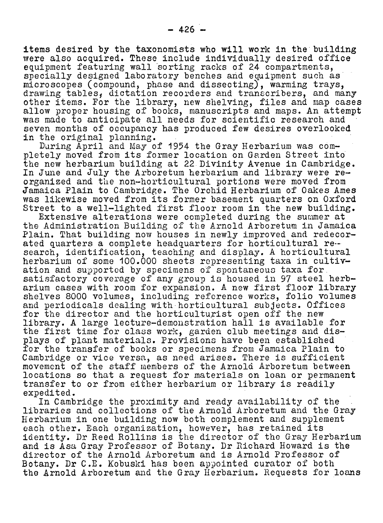items desired by the taxonomists who will work in the building were also acquired. These include individually desired office equipment featuring wall sorting racks of <sup>24</sup> compartments, specially designed laboratory benches and equipment such as microscopes (compound, phase and dissecting), warming trays, microscopes (compound, phase and dissecting), warming trays,<br>drawing tables, dictation recorders and transcribers, and many arawing tables, dictation recorders and transcribers, and many<br>other items. For the library, new shelving, files and map cases allow proper housing of books, manuscripts and maps. An attempt was made to anticipate all needs for scientific research and seven months of occupancy has produced few desires overlooked in the original planning.

During April and May of <sup>1954</sup> the Gray Herbarium was completely moved from its former location on Garden Street into the new herbarium building at <sup>22</sup> Divinity Avenue in Cambridge. In June and July the Arboretum herbarium and library were reorganized and the non-horticultural portions were moved from Jamaica Plain to Cambridge. The Orchid Herbarium of Oakes Ames was likewise moved from its former basement quarters on Oxford Street to <sup>a</sup> well-lighted first floor room in the new building.

Extensive alterations were completed during the summer at the Administration Building of the Arnold Arboretum in Jamaica Plain. That building now houses in newly improved and redecorriain. That building now houses in hewly improved and rede<br>ated quarters a complete headquarters for horticultural re ated quarters a complete headquarters for horticultural reherbarium of some 100.000 sheets representing taxa in cultivation and supported by specimens of spontaneous taxa for satisfactory coverage of any group is housed in 97 steel herbarium cases with room for expansion. <sup>A</sup> new first floor library shelves <sup>8000</sup> volumes, including reference works, folio volumes and periodicals dealing with horticultural subjects. Offices for the director and the horticulturist open off the new library. <sup>A</sup> large lecture-demonstration hall is available for the first time for class work, garden club meetings and displays of plant materials. Provisions have been established for the transfer of books or specimens from Jamaica Plain to Cambridge or vice versa, as need arises. There is sufficient movement of the staff members of the Arnold Arboretum between locations so that <sup>a</sup> request for materials on loan or permanent transfer to or from either herbarium or library is readily expedited.

In Cambridge the proximity and ready availability of the libraries and collections of the Arnold Arboretum and the Gray Herbarium in one building now both complement and supplement each other. Each organization, however, has retained its identity. Dr Reed Rollins is the director of the Gray Herbarium and is Asa Gray Professor of Botany. Dr Richard Howard is the director of the Arnold Arboretum and is Arnold Professor of Botany. Dr C.E. Kobuski has been appointed curator of both the Arnold Arboretum and the Gray Herbarium. Requests for loans